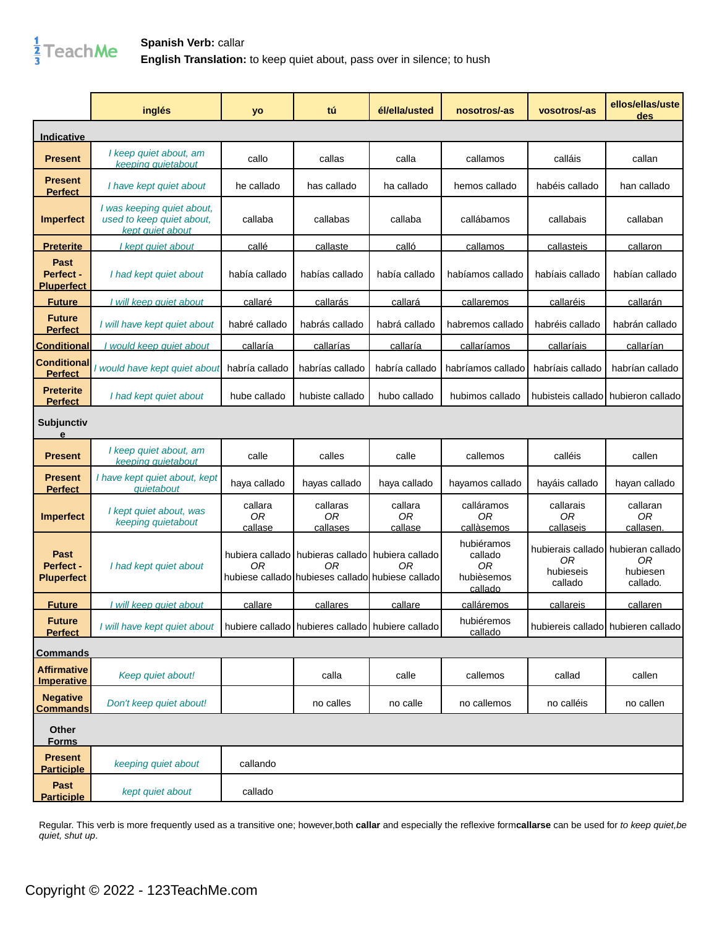

|                                         | inglés                                                                      | yo                       | tú                                                                                                         | él/ella/usted            | nosotros/-as                                         | vosotros/-as                 | ellos/ellas/uste<br>des                                           |
|-----------------------------------------|-----------------------------------------------------------------------------|--------------------------|------------------------------------------------------------------------------------------------------------|--------------------------|------------------------------------------------------|------------------------------|-------------------------------------------------------------------|
| Indicative                              |                                                                             |                          |                                                                                                            |                          |                                                      |                              |                                                                   |
| <b>Present</b>                          | I keep quiet about, am<br>keeping quiet about                               | callo                    | callas                                                                                                     | calla                    | callamos                                             | calláis                      | callan                                                            |
| <b>Present</b><br><b>Perfect</b>        | I have kept quiet about                                                     | he callado               | has callado                                                                                                | ha callado               | hemos callado                                        | habéis callado               | han callado                                                       |
| <b>Imperfect</b>                        | I was keeping quiet about,<br>used to keep quiet about,<br>kept quiet about | callaba                  | callabas                                                                                                   | callaba                  | callábamos                                           | callabais                    | callaban                                                          |
| <u>Preterite</u>                        | I kept quiet about                                                          | callé                    | callaste                                                                                                   | calló                    | callamos                                             | callasteis                   | callaron                                                          |
| Past<br>Perfect -<br><b>Pluperfect</b>  | I had kept quiet about                                                      | había callado            | habías callado                                                                                             | había callado            | habíamos callado                                     | habíais callado              | habían callado                                                    |
| <b>Future</b>                           | I will keep quiet about                                                     | callaré                  | callarás                                                                                                   | callará                  | callaremos                                           | callaréis                    | callarán                                                          |
| <b>Future</b><br><b>Perfect</b>         | I will have kept quiet about                                                | habré callado            | habrás callado                                                                                             | habrá callado            | habremos callado                                     | habréis callado              | habrán callado                                                    |
| <b>Conditional</b>                      | I would keep quiet about                                                    | callaría                 | callarías                                                                                                  | callaría                 | callaríamos                                          | callaríais                   | callarían                                                         |
| Conditional<br><b>Perfect</b>           | would have kept quiet about                                                 | habría callado           | habrías callado                                                                                            | habría callado           | habríamos callado                                    | habríais callado             | habrían callado                                                   |
| <b>Preterite</b><br><b>Perfect</b>      | I had kept quiet about                                                      | hube callado             | hubiste callado                                                                                            | hubo callado             | hubimos callado                                      | hubisteis callado            | hubieron callado                                                  |
| Subjunctiv<br>e                         |                                                                             |                          |                                                                                                            |                          |                                                      |                              |                                                                   |
| <b>Present</b>                          | I keep quiet about, am<br>keeping quiet about                               | calle                    | calles                                                                                                     | calle                    | callemos                                             | calléis                      | callen                                                            |
| <b>Present</b><br><b>Perfect</b>        | I have kept quiet about, kept<br>quiet about                                | haya callado             | hayas callado                                                                                              | haya callado             | hayamos callado                                      | hayáis callado               | hayan callado                                                     |
| <b>Imperfect</b>                        | I kept quiet about, was<br>keeping quiet about                              | callara<br>0R<br>callase | callaras<br>0R<br>callases                                                                                 | callara<br>0R<br>callase | calláramos<br>0R<br>callàsemos                       | callarais<br>0R<br>callaseis | callaran<br>0R<br>callasen.                                       |
| Past<br>Perfect -<br><b>Pluperfect</b>  | I had kept quiet about                                                      | 0R                       | hubiera callado hubieras callado hubiera callado<br>0R<br>hubiese callado hubieses callado hubiese callado | ΟR                       | hubiéramos<br>callado<br>0R<br>hubièsemos<br>callado | 0R<br>hubieseis<br>callado   | hubierais calladol hubieran callado<br>0R<br>hubiesen<br>callado. |
| <b>Future</b>                           | will keep quiet about                                                       | callare                  | callares                                                                                                   | callare                  | calláremos                                           | callareis                    | callaren                                                          |
| <b>Future</b><br><b>Perfect</b>         | I will have kept quiet about                                                |                          | hubiere callado hubieres callado hubiere callado                                                           |                          | hubiéremos<br>callado                                |                              | hubiereis callado hubieren callado                                |
| <b>Commands</b>                         |                                                                             |                          |                                                                                                            |                          |                                                      |                              |                                                                   |
| <b>Affirmative</b><br><b>Imperative</b> | Keep quiet about!                                                           |                          | calla                                                                                                      | calle                    | callemos                                             | callad                       | callen                                                            |
| <b>Negative</b><br><b>Commands</b>      | Don't keep quiet about!                                                     |                          | no calles                                                                                                  | no calle                 | no callemos                                          | no calléis                   | no callen                                                         |
| <b>Other</b><br><b>Forms</b>            |                                                                             |                          |                                                                                                            |                          |                                                      |                              |                                                                   |
| <b>Present</b><br><b>Participle</b>     | keeping quiet about                                                         | callando                 |                                                                                                            |                          |                                                      |                              |                                                                   |
| Past<br><b>Participle</b>               | kept quiet about                                                            | callado                  |                                                                                                            |                          |                                                      |                              |                                                                   |

Regular. This verb is more frequently used as a transitive one; however,both **callar** and especially the reflexive form**callarse** can be used for to keep quiet,be quiet, shut up.